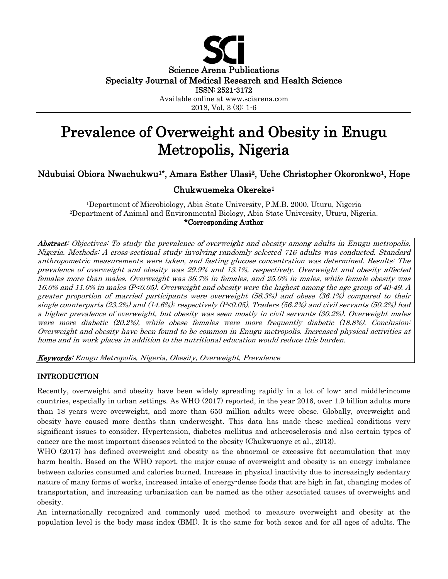

# Prevalence of Overweight and Obesity in Enugu Metropolis, Nigeria

# Ndubuisi Obiora Nwachukwu1\*, Amara Esther Ulasi2, Uche Christopher Okoronkwo1, Hope

# Chukwuemeka Okereke1

1Department of Microbiology, Abia State University, P.M.B. 2000, Uturu, Nigeria 2Department of Animal and Environmental Biology, Abia State University, Uturu, Nigeria. \*Corresponding Author

Abstract: Objectives: To study the prevalence of overweight and obesity among adults in Enugu metropolis, Nigeria. Methods: A cross-sectional study involving randomly selected 716 adults was conducted. Standard anthropometric measurements were taken, and fasting glucose concentration was determined. Results: The prevalence of overweight and obesity was 29.9% and 13.1%, respectively. Overweight and obesity affected females more than males. Overweight was 36.7% in females, and 25.0% in males, while female obesity was 16.0% and 11.0% in males (P<0.05). Overweight and obesity were the highest among the age group of 40-49. A greater proportion of married participants were overweight (56.3%) and obese (36.1%) compared to their single counterparts (23.2%) and (14.6%); respectively (P<0.05). Traders (56.2%) and civil servants (50.2%) had a higher prevalence of overweight, but obesity was seen mostly in civil servants (30.2%). Overweight males were more diabetic (20.2%), while obese females were more frequently diabetic (18.8%). Conclusion: Overweight and obesity have been found to be common in Enugu metropolis. Increased physical activities at home and in work places in addition to the nutritional education would reduce this burden.

Keywords: Enugu Metropolis, Nigeria, Obesity, Overweight, Prevalence

#### INTRODUCTION

Recently, overweight and obesity have been widely spreading rapidly in a lot of low- and middle-income countries, especially in urban settings. As WHO (2017) reported, in the year 2016, over 1.9 billion adults more than 18 years were overweight, and more than 650 million adults were obese. Globally, overweight and obesity have caused more deaths than underweight. This data has made these medical conditions very significant issues to consider. Hypertension, diabetes mellitus and atherosclerosis and also certain types of cancer are the most important diseases related to the obesity (Chukwuonye et al., 2013).

WHO (2017) has defined overweight and obesity as the abnormal or excessive fat accumulation that may harm health. Based on the WHO report, the major cause of overweight and obesity is an energy imbalance between calories consumed and calories burned. Increase in physical inactivity due to increasingly sedentary nature of many forms of works, increased intake of energy-dense foods that are high in fat, changing modes of transportation, and increasing urbanization can be named as the other associated causes of overweight and obesity.

An internationally recognized and commonly used method to measure overweight and obesity at the population level is the body mass index (BMI). It is the same for both sexes and for all ages of adults. The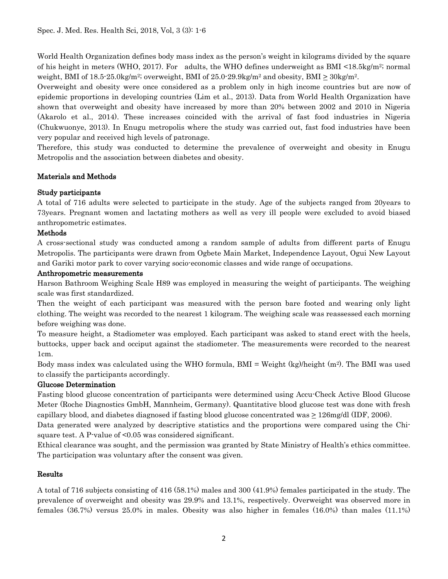World Health Organization defines body mass index as the person's weight in kilograms divided by the square of his height in meters (WHO, 2017). For adults, the WHO defines underweight as BMI  $\leq$ 18.5kg/m<sup>2</sup>; normal weight, BMI of  $18.5-25.0$ kg/m<sup>2</sup>; overweight, BMI of  $25.0-29.9$ kg/m<sup>2</sup> and obesity, BMI  $\geq 30$ kg/m<sup>2</sup>.

Overweight and obesity were once considered as a problem only in high income countries but are now of epidemic proportions in developing countries (Lim et al., 2013). Data from World Health Organization have shown that overweight and obesity have increased by more than 20% between 2002 and 2010 in Nigeria (Akarolo et al., 2014). These increases coincided with the arrival of fast food industries in Nigeria (Chukwuonye, 2013). In Enugu metropolis where the study was carried out, fast food industries have been very popular and received high levels of patronage.

Therefore, this study was conducted to determine the prevalence of overweight and obesity in Enugu Metropolis and the association between diabetes and obesity.

# Materials and Methods

## Study participants

A total of 716 adults were selected to participate in the study. Age of the subjects ranged from 20years to 73years. Pregnant women and lactating mothers as well as very ill people were excluded to avoid biased anthropometric estimates.

# Methods

A cross-sectional study was conducted among a random sample of adults from different parts of Enugu Metropolis. The participants were drawn from Ogbete Main Market, Independence Layout, Ogui New Layout and Gariki motor park to cover varying socio-economic classes and wide range of occupations.

## Anthropometric measurements

Harson Bathroom Weighing Scale H89 was employed in measuring the weight of participants. The weighing scale was first standardized.

Then the weight of each participant was measured with the person bare footed and wearing only light clothing. The weight was recorded to the nearest 1 kilogram. The weighing scale was reassessed each morning before weighing was done.

To measure height, a Stadiometer was employed. Each participant was asked to stand erect with the heels, buttocks, upper back and occiput against the stadiometer. The measurements were recorded to the nearest 1cm.

Body mass index was calculated using the WHO formula,  $BMI = Weight (kg)/height (m<sup>2</sup>)$ . The BMI was used to classify the participants accordingly.

## Glucose Determination

Fasting blood glucose concentration of participants were determined using Accu-Check Active Blood Glucose Meter (Roche Diagnostics GmbH, Mannheim, Germany). Quantitative blood glucose test was done with fresh capillary blood, and diabetes diagnosed if fasting blood glucose concentrated was > 126mg/dl (IDF, 2006).

Data generated were analyzed by descriptive statistics and the proportions were compared using the Chisquare test. A P-value of <0.05 was considered significant.

Ethical clearance was sought, and the permission was granted by State Ministry of Health's ethics committee. The participation was voluntary after the consent was given.

# Results

A total of 716 subjects consisting of 416 (58.1%) males and 300 (41.9%) females participated in the study. The prevalence of overweight and obesity was 29.9% and 13.1%, respectively. Overweight was observed more in females (36.7%) versus 25.0% in males. Obesity was also higher in females (16.0%) than males (11.1%)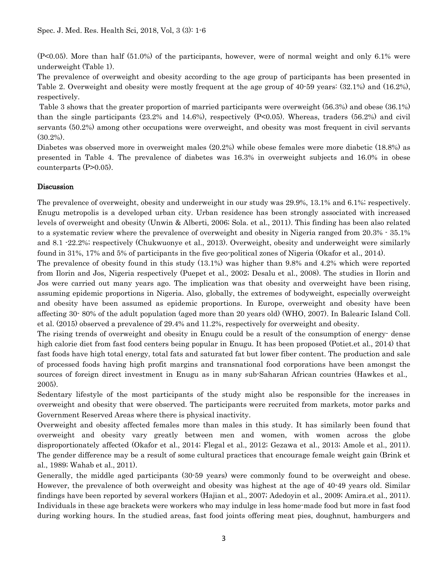(P<0.05). More than half (51.0%) of the participants, however, were of normal weight and only 6.1% were underweight (Table 1).

The prevalence of overweight and obesity according to the age group of participants has been presented in Table 2. Overweight and obesity were mostly frequent at the age group of 40-59 years: (32.1%) and (16.2%), respectively.

Table 3 shows that the greater proportion of married participants were overweight (56.3%) and obese (36.1%) than the single participants (23.2% and 14.6%), respectively (P<0.05). Whereas, traders (56.2%) and civil servants (50.2%) among other occupations were overweight, and obesity was most frequent in civil servants (30.2%).

Diabetes was observed more in overweight males (20.2%) while obese females were more diabetic (18.8%) as presented in Table 4. The prevalence of diabetes was 16.3% in overweight subjects and 16.0% in obese counterparts (P>0.05).

## Discussion

The prevalence of overweight, obesity and underweight in our study was 29.9%, 13.1% and 6.1%; respectively. Enugu metropolis is a developed urban city. Urban residence has been strongly associated with increased levels of overweight and obesity (Unwin & Alberti, 2006; Sola. et al., 2011). This finding has been also related to a systematic review where the prevalence of overweight and obesity in Nigeria ranged from 20.3% - 35.1% and 8.1 -22.2%; respectively (Chukwuonye et al., 2013). Overweight, obesity and underweight were similarly found in 31%, 17% and 5% of participants in the five geo-political zones of Nigeria (Okafor et al., 2014).

The prevalence of obesity found in this study (13.1%) was higher than 9.8% and 4.2% which were reported from Ilorin and Jos, Nigeria respectively (Puepet et al., 2002; Desalu et al., 2008). The studies in Ilorin and Jos were carried out many years ago. The implication was that obesity and overweight have been rising, assuming epidemic proportions in Nigeria. Also, globally, the extremes of bodyweight, especially overweight and obesity have been assumed as epidemic proportions. In Europe, overweight and obesity have been affecting 30- 80% of the adult population (aged more than 20 years old) (WHO, 2007). In Balearic Island Coll. et al. (2015) observed a prevalence of 29.4% and 11.2%, respectively for overweight and obesity.

The rising trends of overweight and obesity in Enugu could be a result of the consumption of energy- dense high calorie diet from fast food centers being popular in Enugu. It has been proposed (Potiet.et al., 2014) that fast foods have high total energy, total fats and saturated fat but lower fiber content. The production and sale of processed foods having high profit margins and transnational food corporations have been amongst the sources of foreign direct investment in Enugu as in many sub-Saharan African countries (Hawkes et al., 2005).

Sedentary lifestyle of the most participants of the study might also be responsible for the increases in overweight and obesity that were observed. The participants were recruited from markets, motor parks and Government Reserved Areas where there is physical inactivity.

Overweight and obesity affected females more than males in this study. It has similarly been found that overweight and obesity vary greatly between men and women, with women across the globe disproportionately affected (Okafor et al., 2014; Flegal et al., 2012; Gezawa et al., 2013; Amole et al., 2011). The gender difference may be a result of some cultural practices that encourage female weight gain (Brink et al., 1989; Wahab et al., 2011).

Generally, the middle aged participants (30-59 years) were commonly found to be overweight and obese. However, the prevalence of both overweight and obesity was highest at the age of 40-49 years old. Similar findings have been reported by several workers (Hajian et al., 2007; Adedoyin et al., 2009; Amira.et al., 2011). Individuals in these age brackets were workers who may indulge in less home-made food but more in fast food during working hours. In the studied areas, fast food joints offering meat pies, doughnut, hamburgers and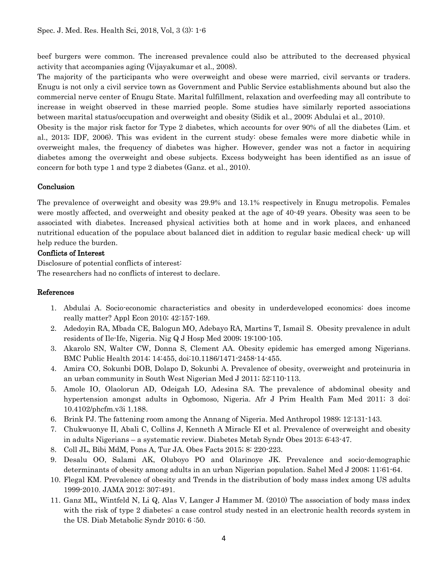beef burgers were common. The increased prevalence could also be attributed to the decreased physical activity that accompanies aging (Vijayakumar et al., 2008).

The majority of the participants who were overweight and obese were married, civil servants or traders. Enugu is not only a civil service town as Government and Public Service establishments abound but also the commercial nerve center of Enugu State. Marital fulfillment, relaxation and overfeeding may all contribute to increase in weight observed in these married people. Some studies have similarly reported associations between marital status/occupation and overweight and obesity (Sidik et al., 2009; Abdulai et al., 2010).

Obesity is the major risk factor for Type 2 diabetes, which accounts for over 90% of all the diabetes (Lim. et al., 2013; IDF, 2006). This was evident in the current study: obese females were more diabetic while in overweight males, the frequency of diabetes was higher. However, gender was not a factor in acquiring diabetes among the overweight and obese subjects. Excess bodyweight has been identified as an issue of concern for both type 1 and type 2 diabetes (Ganz. et al., 2010).

## Conclusion

The prevalence of overweight and obesity was 29.9% and 13.1% respectively in Enugu metropolis. Females were mostly affected, and overweight and obesity peaked at the age of 40-49 years. Obesity was seen to be associated with diabetes. Increased physical activities both at home and in work places, and enhanced nutritional education of the populace about balanced diet in addition to regular basic medical check- up will help reduce the burden.

## Conflicts of Interest

Disclosure of potential conflicts of interest: The researchers had no conflicts of interest to declare.

#### References

- 1. Abdulai A. Socio-economic characteristics and obesity in underdeveloped economics: does income really matter? Appl Econ 2010; 42:157-169.
- 2. Adedoyin RA, Mbada CE, Balogun MO, Adebayo RA, Martins T, Ismail S. Obesity prevalence in adult residents of Ile-Ife, Nigeria. Nig Q J Hosp Med 2009; 19:100-105.
- 3. Akarolo SN, Walter CW, Donna S, Clement AA. Obesity epidemic has emerged among Nigerians. BMC Public Health 2014; 14:455, doi:10.1186/1471-2458-14-455.
- 4. Amira CO, Sokunbi DOB, Dolapo D, Sokunbi A. Prevalence of obesity, overweight and proteinuria in an urban community in South West Nigerian Med J 2011; 52:110-113.
- 5. Amole IO, Olaolorun AD, Odeigah LO, Adesina SA. The prevalence of abdominal obesity and hypertension amongst adults in Ogbomoso, Nigeria. Afr J Prim Health Fam Med 2011; 3 doi: 10.4102/phcfm.v3i 1.188.
- 6. Brink PJ. The fattening room among the Annang of Nigeria. Med Anthropol 1989; 12:131-143.
- 7. Chukwuonye II, Abali C, Collins J, Kenneth A Miracle EI et al. Prevalence of overweight and obesity in adults Nigerians – a systematic review. Diabetes Metab Syndr Obes 2013; 6:43-47.
- 8. Coll JL, Bibi MdM, Pons A, Tur JA. Obes Facts 2015; 8: 220-223.
- 9. Desalu OO, Salami AK, Oluboyo PO and Olarinoye JK. Prevalence and socio-demographic determinants of obesity among adults in an urban Nigerian population. Sahel Med J 2008; 11:61-64.
- 10. Flegal KM. Prevalence of obesity and Trends in the distribution of body mass index among US adults 1999-2010. JAMA 2012; 307:491.
- 11. Ganz ML, Wintfeld N, Li Q, Alas V, Langer J Hammer M. (2010) The association of body mass index with the risk of type 2 diabetes: a case control study nested in an electronic health records system in the US. Diab Metabolic Syndr 2010; 6 :50.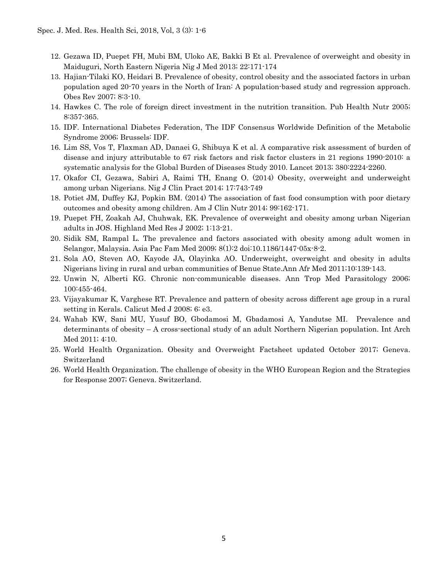- 12. Gezawa ID, Puepet FH, Mubi BM, Uloko AE, Bakki B Et al. Prevalence of overweight and obesity in Maiduguri, North Eastern Nigeria Nig J Med 2013; 22:171-174
- 13. Hajian-Tilaki KO, Heidari B. Prevalence of obesity, control obesity and the associated factors in urban population aged 20-70 years in the North of Iran: A population-based study and regression approach. Obes Rev 2007; 8:3-10.
- 14. Hawkes C. The role of foreign direct investment in the nutrition transition. Pub Health Nutr 2005; 8:357-365.
- 15. IDF. International Diabetes Federation, The IDF Consensus Worldwide Definition of the Metabolic Syndrome 2006; Brussels: IDF.
- 16. Lim SS, Vos T, Flaxman AD, Danaei G, Shibuya K et al. A comparative risk assessment of burden of disease and injury attributable to 67 risk factors and risk factor clusters in 21 regions 1990-2010: a systematic analysis for the Global Burden of Diseases Study 2010. Lancet 2013; 380:2224-2260.
- 17. Okafor CI, Gezawa, Sabiri A, Raimi TH, Enang O. (2014) Obesity, overweight and underweight among urban Nigerians. Nig J Clin Pract 2014; 17:743-749
- 18. Potiet JM, Duffey KJ, Popkin BM. (2014) The association of fast food consumption with poor dietary outcomes and obesity among children. Am J Clin Nutr 2014; 99:162-171.
- 19. Puepet FH, Zoakah AJ, Chuhwak, EK. Prevalence of overweight and obesity among urban Nigerian adults in JOS. Highland Med Res J 2002; 1:13-21.
- 20. Sidik SM, Rampal L. The prevalence and factors associated with obesity among adult women in Selangor, Malaysia. Asia Pac Fam Med 2009; 8(1):2 doi:10.1186/1447-05x-8-2.
- 21. Sola AO, Steven AO, Kayode JA, Olayinka AO. Underweight, overweight and obesity in adults Nigerians living in rural and urban communities of Benue State.Ann Afr Med 2011;10:139-143.
- 22. Unwin N, Alberti KG. Chronic non-communicable diseases. Ann Trop Med Parasitology 2006; 100:455-464.
- 23. Vijayakumar K, Varghese RT. Prevalence and pattern of obesity across different age group in a rural setting in Kerals. Calicut Med J 2008; 6: e3.
- 24. Wahab KW, Sani MU, Yusuf BO, Gbodamosi M, Gbadamosi A, Yandutse MI. Prevalence and determinants of obesity – A cross-sectional study of an adult Northern Nigerian population. Int Arch Med 2011; 4:10.
- 25. World Health Organization. Obesity and Overweight Factsheet updated October 2017; Geneva. Switzerland
- 26. World Health Organization. The challenge of obesity in the WHO European Region and the Strategies for Response 2007; Geneva. Switzerland.